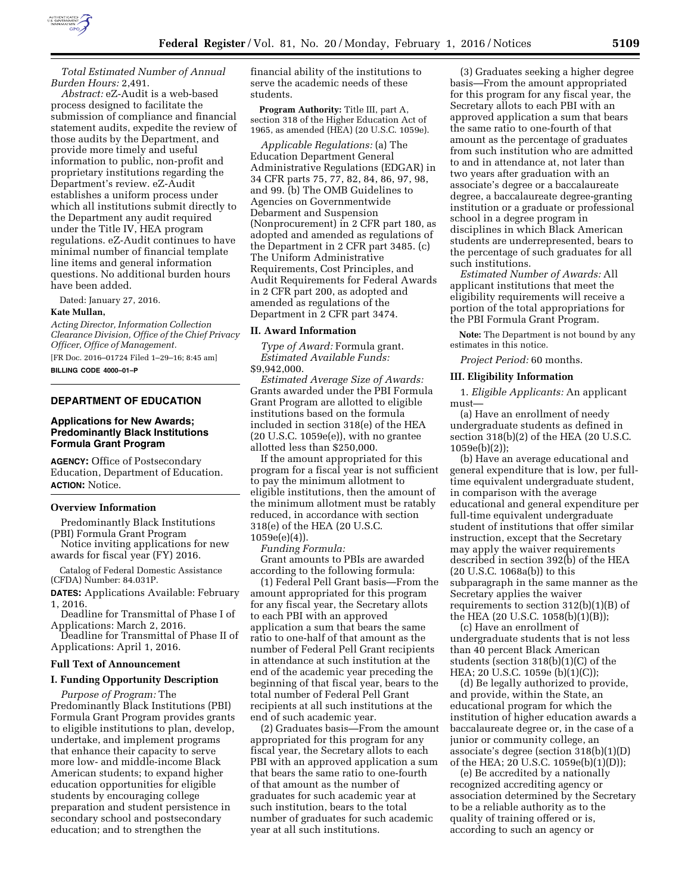

*Total Estimated Number of Annual Burden Hours:* 2,491.

*Abstract:* eZ-Audit is a web-based process designed to facilitate the submission of compliance and financial statement audits, expedite the review of those audits by the Department, and provide more timely and useful information to public, non-profit and proprietary institutions regarding the Department's review. eZ-Audit establishes a uniform process under which all institutions submit directly to the Department any audit required under the Title IV, HEA program regulations. eZ-Audit continues to have minimal number of financial template line items and general information questions. No additional burden hours have been added.

Dated: January 27, 2016.

#### **Kate Mullan,**

*Acting Director, Information Collection Clearance Division, Office of the Chief Privacy Officer, Office of Management.* 

[FR Doc. 2016–01724 Filed 1–29–16; 8:45 am] **BILLING CODE 4000–01–P** 

### **DEPARTMENT OF EDUCATION**

## **Applications for New Awards; Predominantly Black Institutions Formula Grant Program**

**AGENCY:** Office of Postsecondary Education, Department of Education. **ACTION:** Notice.

#### **Overview Information**

Predominantly Black Institutions (PBI) Formula Grant Program

- Notice inviting applications for new awards for fiscal year (FY) 2016.
- Catalog of Federal Domestic Assistance (CFDA) Number: 84.031P.

**DATES:** Applications Available: February 1, 2016.

Deadline for Transmittal of Phase I of Applications: March 2, 2016.

Deadline for Transmittal of Phase II of Applications: April 1, 2016.

### **Full Text of Announcement**

## **I. Funding Opportunity Description**

*Purpose of Program:* The Predominantly Black Institutions (PBI) Formula Grant Program provides grants to eligible institutions to plan, develop, undertake, and implement programs that enhance their capacity to serve more low- and middle-income Black American students; to expand higher education opportunities for eligible students by encouraging college preparation and student persistence in secondary school and postsecondary education; and to strengthen the

financial ability of the institutions to serve the academic needs of these students.

**Program Authority:** Title III, part A, section 318 of the Higher Education Act of 1965, as amended (HEA) (20 U.S.C. 1059e).

*Applicable Regulations:* (a) The Education Department General Administrative Regulations (EDGAR) in 34 CFR parts 75, 77, 82, 84, 86, 97, 98, and 99. (b) The OMB Guidelines to Agencies on Governmentwide Debarment and Suspension (Nonprocurement) in 2 CFR part 180, as adopted and amended as regulations of the Department in 2 CFR part 3485. (c) The Uniform Administrative Requirements, Cost Principles, and Audit Requirements for Federal Awards in 2 CFR part 200, as adopted and amended as regulations of the Department in 2 CFR part 3474.

#### **II. Award Information**

*Type of Award:* Formula grant. *Estimated Available Funds:*  \$9,942,000.

*Estimated Average Size of Awards:*  Grants awarded under the PBI Formula Grant Program are allotted to eligible institutions based on the formula included in section 318(e) of the HEA (20 U.S.C. 1059e(e)), with no grantee allotted less than \$250,000.

If the amount appropriated for this program for a fiscal year is not sufficient to pay the minimum allotment to eligible institutions, then the amount of the minimum allotment must be ratably reduced, in accordance with section 318(e) of the HEA (20 U.S.C. 1059e(e)(4)).

*Funding Formula:* 

Grant amounts to PBIs are awarded according to the following formula:

(1) Federal Pell Grant basis—From the amount appropriated for this program for any fiscal year, the Secretary allots to each PBI with an approved application a sum that bears the same ratio to one-half of that amount as the number of Federal Pell Grant recipients in attendance at such institution at the end of the academic year preceding the beginning of that fiscal year, bears to the total number of Federal Pell Grant recipients at all such institutions at the end of such academic year.

(2) Graduates basis—From the amount appropriated for this program for any fiscal year, the Secretary allots to each PBI with an approved application a sum that bears the same ratio to one-fourth of that amount as the number of graduates for such academic year at such institution, bears to the total number of graduates for such academic year at all such institutions.

(3) Graduates seeking a higher degree basis—From the amount appropriated for this program for any fiscal year, the Secretary allots to each PBI with an approved application a sum that bears the same ratio to one-fourth of that amount as the percentage of graduates from such institution who are admitted to and in attendance at, not later than two years after graduation with an associate's degree or a baccalaureate degree, a baccalaureate degree-granting institution or a graduate or professional school in a degree program in disciplines in which Black American students are underrepresented, bears to the percentage of such graduates for all such institutions.

*Estimated Number of Awards:* All applicant institutions that meet the eligibility requirements will receive a portion of the total appropriations for the PBI Formula Grant Program.

**Note:** The Department is not bound by any estimates in this notice.

*Project Period:* 60 months.

### **III. Eligibility Information**

1. *Eligible Applicants:* An applicant must—

(a) Have an enrollment of needy undergraduate students as defined in section 318(b)(2) of the HEA (20 U.S.C. 1059e(b)(2));

(b) Have an average educational and general expenditure that is low, per fulltime equivalent undergraduate student, in comparison with the average educational and general expenditure per full-time equivalent undergraduate student of institutions that offer similar instruction, except that the Secretary may apply the waiver requirements described in section 392(b) of the HEA  $(20 U.S.C. 1068a(b))$  to this subparagraph in the same manner as the Secretary applies the waiver requirements to section  $312(b)(1)(B)$  of the HEA (20 U.S.C. 1058(b)(1)(B));

(c) Have an enrollment of undergraduate students that is not less than 40 percent Black American students (section 318(b)(1)(C) of the HEA; 20 U.S.C. 1059e (b)(1)(C));

(d) Be legally authorized to provide, and provide, within the State, an educational program for which the institution of higher education awards a baccalaureate degree or, in the case of a junior or community college, an associate's degree (section 318(b)(1)(D) of the HEA; 20 U.S.C. 1059e(b)(1)(D));

(e) Be accredited by a nationally recognized accrediting agency or association determined by the Secretary to be a reliable authority as to the quality of training offered or is, according to such an agency or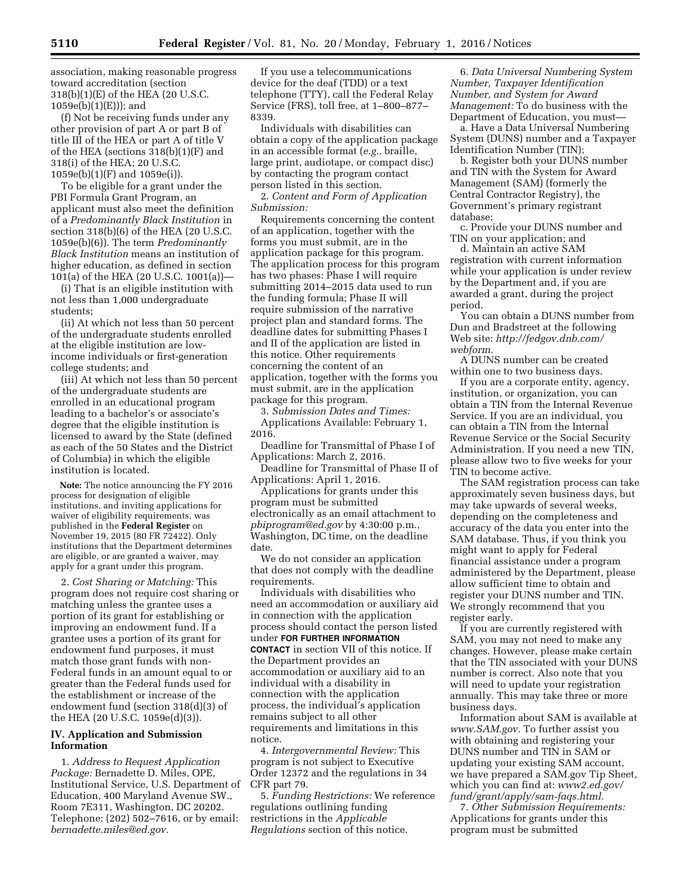association, making reasonable progress toward accreditation (section 318(b)(1)(E) of the HEA (20 U.S.C. 1059e(b)(1)(E))); and

(f) Not be receiving funds under any other provision of part A or part B of title III of the HEA or part A of title V of the HEA (sections 318(b)(1)(F) and 318(i) of the HEA; 20 U.S.C. 1059e(b)(1)(F) and 1059e(i)).

To be eligible for a grant under the PBI Formula Grant Program, an applicant must also meet the definition of a *Predominantly Black Institution* in section 318(b)(6) of the HEA (20 U.S.C. 1059e(b)(6)). The term *Predominantly Black Institution* means an institution of higher education, as defined in section 101(a) of the HEA (20 U.S.C. 1001(a))—

(i) That is an eligible institution with not less than 1,000 undergraduate students;

(ii) At which not less than 50 percent of the undergraduate students enrolled at the eligible institution are lowincome individuals or first-generation college students; and

(iii) At which not less than 50 percent of the undergraduate students are enrolled in an educational program leading to a bachelor's or associate's degree that the eligible institution is licensed to award by the State (defined as each of the 50 States and the District of Columbia) in which the eligible institution is located.

**Note:** The notice announcing the FY 2016 process for designation of eligible institutions, and inviting applications for waiver of eligibility requirements, was published in the **Federal Register** on November 19, 2015 (80 FR 72422). Only institutions that the Department determines are eligible, or are granted a waiver, may apply for a grant under this program.

2. *Cost Sharing or Matching:* This program does not require cost sharing or matching unless the grantee uses a portion of its grant for establishing or improving an endowment fund. If a grantee uses a portion of its grant for endowment fund purposes, it must match those grant funds with non-Federal funds in an amount equal to or greater than the Federal funds used for the establishment or increase of the endowment fund (section 318(d)(3) of the HEA (20 U.S.C. 1059e(d)(3)).

## **IV. Application and Submission Information**

1. *Address to Request Application Package:* Bernadette D. Miles, OPE, Institutional Service, U.S. Department of Education, 400 Maryland Avenue SW., Room 7E311, Washington, DC 20202. Telephone: (202) 502–7616, or by email: *[bernadette.miles@ed.gov.](mailto:bernadette.miles@ed.gov)* 

If you use a telecommunications device for the deaf (TDD) or a text telephone (TTY), call the Federal Relay Service (FRS), toll free, at 1–800–877– 8339.

Individuals with disabilities can obtain a copy of the application package in an accessible format (*e.g.,* braille, large print, audiotape, or compact disc) by contacting the program contact person listed in this section.

2. *Content and Form of Application Submission:* 

Requirements concerning the content of an application, together with the forms you must submit, are in the application package for this program. The application process for this program has two phases: Phase I will require submitting 2014–2015 data used to run the funding formula; Phase II will require submission of the narrative project plan and standard forms. The deadline dates for submitting Phases I and II of the application are listed in this notice. Other requirements concerning the content of an application, together with the forms you must submit, are in the application package for this program.

3. *Submission Dates and Times:*  Applications Available: February 1, 2016.

Deadline for Transmittal of Phase I of Applications: March 2, 2016.

Deadline for Transmittal of Phase II of Applications: April 1, 2016.

Applications for grants under this program must be submitted electronically as an email attachment to *[pbiprogram@ed.gov](mailto:pbiprogram@ed.gov)* by 4:30:00 p.m., Washington, DC time, on the deadline date.

We do not consider an application that does not comply with the deadline requirements.

Individuals with disabilities who need an accommodation or auxiliary aid in connection with the application process should contact the person listed under **FOR FURTHER INFORMATION CONTACT** in section VII of this notice. If the Department provides an accommodation or auxiliary aid to an individual with a disability in connection with the application process, the individual's application remains subject to all other requirements and limitations in this notice.

4. *Intergovernmental Review:* This program is not subject to Executive Order 12372 and the regulations in 34 CFR part 79.

5. *Funding Restrictions:* We reference regulations outlining funding restrictions in the *Applicable Regulations* section of this notice.

6. *Data Universal Numbering System Number, Taxpayer Identification Number, and System for Award Management:* To do business with the Department of Education, you must—

a. Have a Data Universal Numbering System (DUNS) number and a Taxpayer Identification Number (TIN);

b. Register both your DUNS number and TIN with the System for Award Management (SAM) (formerly the Central Contractor Registry), the Government's primary registrant database;

c. Provide your DUNS number and TIN on your application; and

d. Maintain an active SAM registration with current information while your application is under review by the Department and, if you are awarded a grant, during the project period.

You can obtain a DUNS number from Dun and Bradstreet at the following Web site: *[http://fedgov.dnb.com/](http://fedgov.dnb.com/webform) [webform.](http://fedgov.dnb.com/webform)* 

A DUNS number can be created within one to two business days.

If you are a corporate entity, agency, institution, or organization, you can obtain a TIN from the Internal Revenue Service. If you are an individual, you can obtain a TIN from the Internal Revenue Service or the Social Security Administration. If you need a new TIN, please allow two to five weeks for your TIN to become active.

The SAM registration process can take approximately seven business days, but may take upwards of several weeks, depending on the completeness and accuracy of the data you enter into the SAM database. Thus, if you think you might want to apply for Federal financial assistance under a program administered by the Department, please allow sufficient time to obtain and register your DUNS number and TIN. We strongly recommend that you register early.

If you are currently registered with SAM, you may not need to make any changes. However, please make certain that the TIN associated with your DUNS number is correct. Also note that you will need to update your registration annually. This may take three or more business days.

Information about SAM is available at *[www.SAM.gov.](http://www.SAM.gov)* To further assist you with obtaining and registering your DUNS number and TIN in SAM or updating your existing SAM account, we have prepared a SAM.gov Tip Sheet, which you can find at: *[www2.ed.gov/](http://www2.ed.gov/fund/grant/apply/sam-faqs.html) [fund/grant/apply/sam-faqs.html](http://www2.ed.gov/fund/grant/apply/sam-faqs.html)*.

7. *Other Submission Requirements:*  Applications for grants under this program must be submitted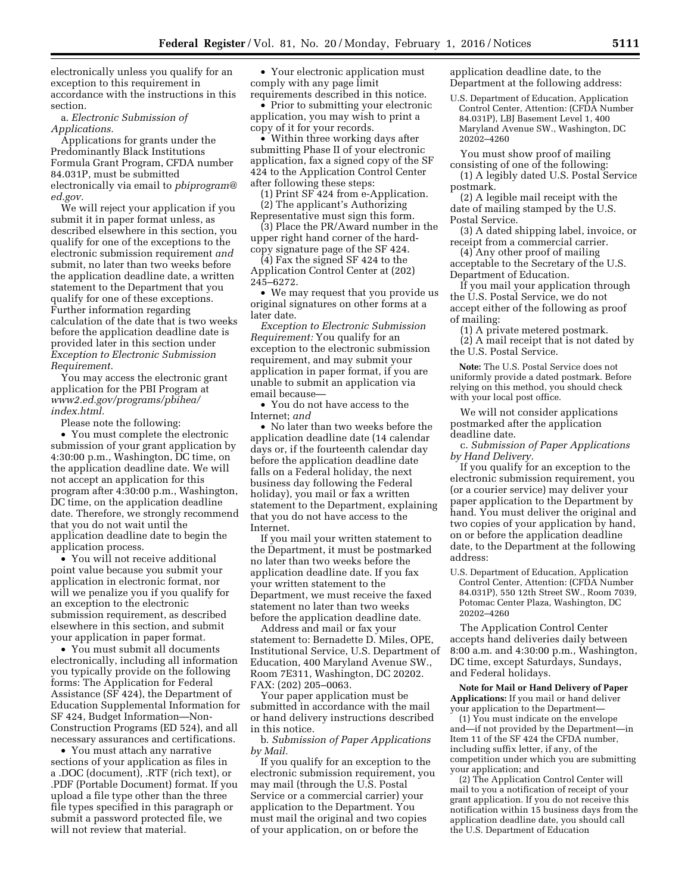electronically unless you qualify for an exception to this requirement in accordance with the instructions in this section.

a. *Electronic Submission of Applications.* 

Applications for grants under the Predominantly Black Institutions Formula Grant Program, CFDA number 84.031P, must be submitted electronically via email to *[pbiprogram@](mailto:pbiprogram@ed.gov) [ed.gov.](mailto:pbiprogram@ed.gov)* 

We will reject your application if you submit it in paper format unless, as described elsewhere in this section, you qualify for one of the exceptions to the electronic submission requirement *and*  submit, no later than two weeks before the application deadline date, a written statement to the Department that you qualify for one of these exceptions. Further information regarding calculation of the date that is two weeks before the application deadline date is provided later in this section under *Exception to Electronic Submission Requirement.* 

You may access the electronic grant application for the PBI Program at *[www2.ed.gov/programs/pbihea/](http://www2.ed.gov/programs/pbihea/index.html) [index.html.](http://www2.ed.gov/programs/pbihea/index.html)* 

Please note the following:

• You must complete the electronic submission of your grant application by 4:30:00 p.m., Washington, DC time, on the application deadline date. We will not accept an application for this program after 4:30:00 p.m., Washington, DC time, on the application deadline date. Therefore, we strongly recommend that you do not wait until the application deadline date to begin the application process.

• You will not receive additional point value because you submit your application in electronic format, nor will we penalize you if you qualify for an exception to the electronic submission requirement, as described elsewhere in this section, and submit your application in paper format.

• You must submit all documents electronically, including all information you typically provide on the following forms: The Application for Federal Assistance (SF 424), the Department of Education Supplemental Information for SF 424, Budget Information—Non-Construction Programs (ED 524), and all necessary assurances and certifications.

• You must attach any narrative sections of your application as files in a .DOC (document), .RTF (rich text), or .PDF (Portable Document) format. If you upload a file type other than the three file types specified in this paragraph or submit a password protected file, we will not review that material.

• Your electronic application must comply with any page limit requirements described in this notice.

• Prior to submitting your electronic application, you may wish to print a copy of it for your records.

• Within three working days after submitting Phase II of your electronic application, fax a signed copy of the SF 424 to the Application Control Center after following these steps:

(1) Print SF 424 from e-Application. (2) The applicant's Authorizing

Representative must sign this form. (3) Place the PR/Award number in the upper right hand corner of the hardcopy signature page of the SF 424.

(4) Fax the signed SF 424 to the Application Control Center at (202) 245–6272.

• We may request that you provide us original signatures on other forms at a later date.

*Exception to Electronic Submission Requirement:* You qualify for an exception to the electronic submission requirement, and may submit your application in paper format, if you are unable to submit an application via email because—

• You do not have access to the Internet; *and* 

• No later than two weeks before the application deadline date (14 calendar days or, if the fourteenth calendar day before the application deadline date falls on a Federal holiday, the next business day following the Federal holiday), you mail or fax a written statement to the Department, explaining that you do not have access to the Internet.

If you mail your written statement to the Department, it must be postmarked no later than two weeks before the application deadline date. If you fax your written statement to the Department, we must receive the faxed statement no later than two weeks before the application deadline date.

Address and mail or fax your statement to: Bernadette D. Miles, OPE, Institutional Service, U.S. Department of Education, 400 Maryland Avenue SW., Room 7E311, Washington, DC 20202. FAX: (202) 205–0063.

Your paper application must be submitted in accordance with the mail or hand delivery instructions described in this notice.

b. *Submission of Paper Applications by Mail.* 

If you qualify for an exception to the electronic submission requirement, you may mail (through the U.S. Postal Service or a commercial carrier) your application to the Department. You must mail the original and two copies of your application, on or before the

application deadline date, to the Department at the following address:

U.S. Department of Education, Application Control Center, Attention: (CFDA Number 84.031P), LBJ Basement Level 1, 400 Maryland Avenue SW., Washington, DC 20202–4260

You must show proof of mailing

consisting of one of the following: (1) A legibly dated U.S. Postal Service postmark.

(2) A legible mail receipt with the date of mailing stamped by the U.S. Postal Service.

(3) A dated shipping label, invoice, or receipt from a commercial carrier.

(4) Any other proof of mailing acceptable to the Secretary of the U.S. Department of Education.

If you mail your application through the U.S. Postal Service, we do not accept either of the following as proof of mailing:

(1) A private metered postmark.

(2) A mail receipt that is not dated by the U.S. Postal Service.

**Note:** The U.S. Postal Service does not uniformly provide a dated postmark. Before relying on this method, you should check with your local post office.

We will not consider applications postmarked after the application deadline date.

c. *Submission of Paper Applications by Hand Delivery.* 

If you qualify for an exception to the electronic submission requirement, you (or a courier service) may deliver your paper application to the Department by hand. You must deliver the original and two copies of your application by hand, on or before the application deadline date, to the Department at the following address:

U.S. Department of Education, Application Control Center, Attention: (CFDA Number 84.031P), 550 12th Street SW., Room 7039, Potomac Center Plaza, Washington, DC 20202–4260

The Application Control Center accepts hand deliveries daily between 8:00 a.m. and 4:30:00 p.m., Washington, DC time, except Saturdays, Sundays, and Federal holidays.

**Note for Mail or Hand Delivery of Paper Applications:** If you mail or hand deliver your application to the Department—

(1) You must indicate on the envelope and—if not provided by the Department—in Item 11 of the SF 424 the CFDA number, including suffix letter, if any, of the competition under which you are submitting your application; and

(2) The Application Control Center will mail to you a notification of receipt of your grant application. If you do not receive this notification within 15 business days from the application deadline date, you should call the U.S. Department of Education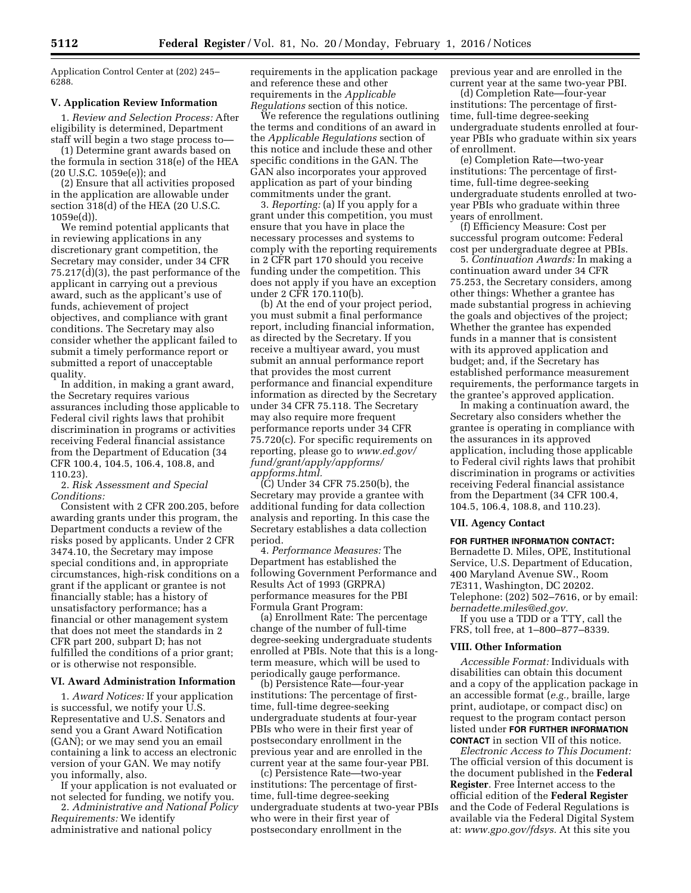Application Control Center at (202) 245– 6288.

#### **V. Application Review Information**

1. *Review and Selection Process:* After eligibility is determined, Department staff will begin a two stage process to—

(1) Determine grant awards based on the formula in section 318(e) of the HEA (20 U.S.C. 1059e(e)); and

(2) Ensure that all activities proposed in the application are allowable under section 318(d) of the HEA (20 U.S.C. 1059e(d)).

We remind potential applicants that in reviewing applications in any discretionary grant competition, the Secretary may consider, under 34 CFR 75.217(d)(3), the past performance of the applicant in carrying out a previous award, such as the applicant's use of funds, achievement of project objectives, and compliance with grant conditions. The Secretary may also consider whether the applicant failed to submit a timely performance report or submitted a report of unacceptable quality.

In addition, in making a grant award, the Secretary requires various assurances including those applicable to Federal civil rights laws that prohibit discrimination in programs or activities receiving Federal financial assistance from the Department of Education (34 CFR 100.4, 104.5, 106.4, 108.8, and 110.23).

2. *Risk Assessment and Special Conditions:* 

Consistent with 2 CFR 200.205, before awarding grants under this program, the Department conducts a review of the risks posed by applicants. Under 2 CFR 3474.10, the Secretary may impose special conditions and, in appropriate circumstances, high-risk conditions on a grant if the applicant or grantee is not financially stable; has a history of unsatisfactory performance; has a financial or other management system that does not meet the standards in 2 CFR part 200, subpart D; has not fulfilled the conditions of a prior grant; or is otherwise not responsible.

## **VI. Award Administration Information**

1. *Award Notices:* If your application is successful, we notify your U.S. Representative and U.S. Senators and send you a Grant Award Notification (GAN); or we may send you an email containing a link to access an electronic version of your GAN. We may notify you informally, also.

If your application is not evaluated or not selected for funding, we notify you.

2. *Administrative and National Policy Requirements:* We identify administrative and national policy

requirements in the application package and reference these and other requirements in the *Applicable Regulations* section of this notice.

We reference the regulations outlining the terms and conditions of an award in the *Applicable Regulations* section of this notice and include these and other specific conditions in the GAN. The GAN also incorporates your approved application as part of your binding commitments under the grant.

3. *Reporting:* (a) If you apply for a grant under this competition, you must ensure that you have in place the necessary processes and systems to comply with the reporting requirements in 2 CFR part 170 should you receive funding under the competition. This does not apply if you have an exception under 2 CFR 170.110(b).

(b) At the end of your project period, you must submit a final performance report, including financial information, as directed by the Secretary. If you receive a multiyear award, you must submit an annual performance report that provides the most current performance and financial expenditure information as directed by the Secretary under 34 CFR 75.118. The Secretary may also require more frequent performance reports under 34 CFR 75.720(c). For specific requirements on reporting, please go to *[www.ed.gov/](http://www.ed.gov/fund/grant/apply/appforms/appforms.html) [fund/grant/apply/appforms/](http://www.ed.gov/fund/grant/apply/appforms/appforms.html) [appforms.html.](http://www.ed.gov/fund/grant/apply/appforms/appforms.html)* 

(C) Under 34 CFR 75.250(b), the Secretary may provide a grantee with additional funding for data collection analysis and reporting. In this case the Secretary establishes a data collection period.

4. *Performance Measures:* The Department has established the following Government Performance and Results Act of 1993 (GRPRA) performance measures for the PBI Formula Grant Program:

(a) Enrollment Rate: The percentage change of the number of full-time degree-seeking undergraduate students enrolled at PBIs. Note that this is a longterm measure, which will be used to periodically gauge performance.

(b) Persistence Rate—four-year institutions: The percentage of firsttime, full-time degree-seeking undergraduate students at four-year PBIs who were in their first year of postsecondary enrollment in the previous year and are enrolled in the current year at the same four-year PBI.

(c) Persistence Rate—two-year institutions: The percentage of firsttime, full-time degree-seeking undergraduate students at two-year PBIs who were in their first year of postsecondary enrollment in the

previous year and are enrolled in the current year at the same two-year PBI.

(d) Completion Rate—four-year institutions: The percentage of firsttime, full-time degree-seeking undergraduate students enrolled at fouryear PBIs who graduate within six years of enrollment.

(e) Completion Rate—two-year institutions: The percentage of firsttime, full-time degree-seeking undergraduate students enrolled at twoyear PBIs who graduate within three years of enrollment.

(f) Efficiency Measure: Cost per successful program outcome: Federal cost per undergraduate degree at PBIs.

5. *Continuation Awards:* In making a continuation award under 34 CFR 75.253, the Secretary considers, among other things: Whether a grantee has made substantial progress in achieving the goals and objectives of the project; Whether the grantee has expended funds in a manner that is consistent with its approved application and budget; and, if the Secretary has established performance measurement requirements, the performance targets in the grantee's approved application.

In making a continuation award, the Secretary also considers whether the grantee is operating in compliance with the assurances in its approved application, including those applicable to Federal civil rights laws that prohibit discrimination in programs or activities receiving Federal financial assistance from the Department (34 CFR 100.4, 104.5, 106.4, 108.8, and 110.23).

#### **VII. Agency Contact**

### **FOR FURTHER INFORMATION CONTACT:**

Bernadette D. Miles, OPE, Institutional Service, U.S. Department of Education, 400 Maryland Avenue SW., Room 7E311, Washington, DC 20202. Telephone: (202) 502–7616, or by email: *[bernadette.miles@ed.gov.](mailto:bernadette.miles@ed.gov)* 

If you use a TDD or a TTY, call the FRS, toll free, at 1–800–877–8339.

### **VIII. Other Information**

*Accessible Format:* Individuals with disabilities can obtain this document and a copy of the application package in an accessible format (*e.g.,* braille, large print, audiotape, or compact disc) on request to the program contact person listed under **FOR FURTHER INFORMATION CONTACT** in section VII of this notice.

*Electronic Access to This Document:*  The official version of this document is the document published in the **Federal Register**. Free Internet access to the official edition of the **Federal Register**  and the Code of Federal Regulations is available via the Federal Digital System at: *[www.gpo.gov/fdsys.](http://www.gpo.gov/fdsys)* At this site you